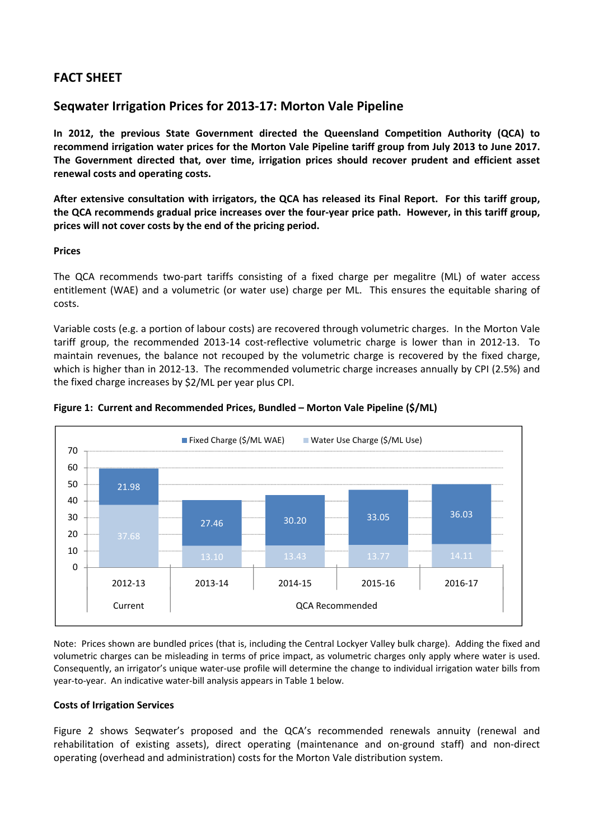# **FACT SHEET**

## **Seqwater Irrigation Prices for 2013‐17: Morton Vale Pipeline**

**In 2012, the previous State Government directed the Queensland Competition Authority (QCA) to** recommend irrigation water prices for the Morton Vale Pipeline tariff group from July 2013 to June 2017. **The Government directed that, over time, irrigation prices should recover prudent and efficient asset renewal costs and operating costs.**

After extensive consultation with irrigators, the QCA has released its Final Report. For this tariff group, the QCA recommends gradual price increases over the four-year price path. However, in this tariff group, **prices will not cover costs by the end of the pricing period.** 

## **Prices**

The QCA recommends two-part tariffs consisting of a fixed charge per megalitre (ML) of water access entitlement (WAE) and a volumetric (or water use) charge per ML. This ensures the equitable sharing of costs.

Variable costs (e.g. a portion of labour costs) are recovered through volumetric charges. In the Morton Vale tariff group, the recommended 2013-14 cost-reflective volumetric charge is lower than in 2012-13. To maintain revenues, the balance not recouped by the volumetric charge is recovered by the fixed charge, which is higher than in 2012‐13. The recommended volumetric charge increases annually by CPI (2.5%) and the fixed charge increases by \$2/ML per year plus CPI.



### **Figure 1: Current and Recommended Prices, Bundled – Morton Vale Pipeline (\$/ML)**

Note: Prices shown are bundled prices (that is, including the Central Lockyer Valley bulk charge). Adding the fixed and volumetric charges can be misleading in terms of price impact, as volumetric charges only apply where water is used. Consequently, an irrigator's unique water‐use profile will determine the change to individual irrigation water bills from year-to-year. An indicative water-bill analysis appears in Table 1 below.

## **Costs of Irrigation Services**

Figure 2 shows Seqwater's proposed and the QCA's recommended renewals annuity (renewal and rehabilitation of existing assets), direct operating (maintenance and on‐ground staff) and non‐direct operating (overhead and administration) costs for the Morton Vale distribution system.